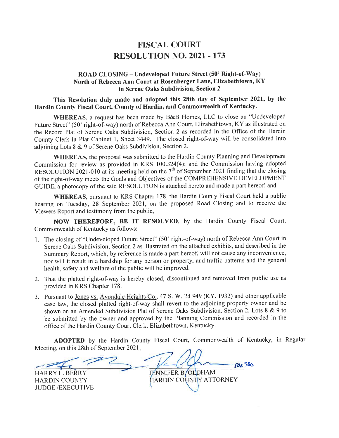# FISCAL COURT RESOLUTION NO. 2O2I .173

#### ROAD CLOSING - Undeveloped Future Street (50' Right-of-Way) North of Rebecca Ann Court at Rosenberger Lane, Elizabethtown, KY in Serene Oaks Subdivision, Section 2

This Resolution duly made and adopted this 28th day of September 2021, by the Hardin County Fiscal Court, County of Hardin, and Commonwealth of Kentucky.

WHEREAS, a request has been made by B&B Homes, LLC to close an "Undeveloped Future Street" (50' right-of-way) north of Rebecca Ann Court, Elizabethtown, KY as illustrated on the Record Plat of Serene Oaks Subdivision, Section 2 as recorded in the Office of the Hardin County Clerk in Plat Cabinet l, Sheet 3449. The closed right-of-way will be consolidated into adjoining Lots 8 & 9 of Serene Oaks Subdivision, Section 2.

WHEREAS, the proposal was submitted to the Hardin County Planning and Development Commission for review as provided in KRS 100.324(4); and the Commission having adopted RESOLUTION 2021-010 at its meeting held on the  $7<sup>th</sup>$  of September 2021 finding that the closing of the right-of-way meets the Goals and Objectives of the COMPREHENSIVE DEVELOPMENT GUIDE, a photocopy of the said RESOLUTION is attached hereto and made a part hereof; and

WHEREAS, pursuant to KRS Chapter 178, the Hardin County Fiscal Court held a public hearing on Tuesday, 28 September 2021, on the proposed Road Closing and to receive the Viewers Report and testimony from the public,

NOW THEREFORE, BE IT RESOLVED, by the Hardin County Fiscal Court, Commonwealth of Kentucky as follows:

- 1. The closing of "Undeveloped Future Street" (50' right-of-way) north of Rebecca Ann Court in Serene Oaks Subdivision, Section 2 as illustrated on the attached exhibits, and described in the Summary Report, which, by reference is made a part hereof, will not cause any inconvenience, nor will it result in a hardship for any person or property, and traffic patterns and the general health, safety and welfare of the public will be improved.
- 2. That the platted right-of-way is hereby closed, discontinued and removed from public use as provided in KRS Chapter 178.
- 3. Pursuant to Jones vs. Avondale Heights Co.,47 S. W. 2d 949 (KY. 1932) and other applicable case law, the closed platted right-of-way shall revert to the adjoining property owner and be shown on an Amended Subdivision Plat of Serene Oaks Subdivision, Section 2, Lots 8 & 9 to be submitted by the owner and approved by the Planning Commission and recorded in the office of the Hardin County Court Clerk, Elizabethtown, Kentucky.

ADOPTED by the Hardin County Fiscal Court, Commonwealth of Kentucky, in Regular Meeting, on this 28th of September 2021

HARRY L. BERRY JENNIFER B/OLDHAM HARDIN COUNT<mark>Y ATTORNEY</mark> **FOR JAD** 

HARDIN COUNTY JUDGE /EXECUTIVE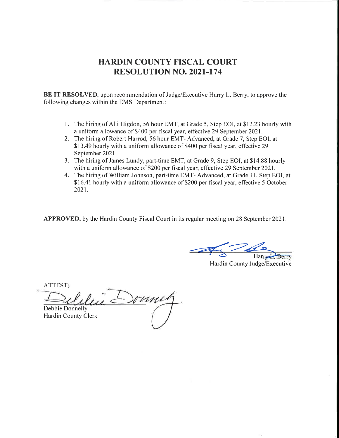BE IT RESOLVED, upon recommendation of Judge/Executive Harry L. Berry, to approve the following changes within the EMS Department:

- 1. The hiring of Alli Higdon, 56 hour EMT, at Grade 5, Step EOI, at \$12.23 hourly with a uniform allowance of \$400 per fiscal year, effective 29 September 2021 .
- 2. The hiring of Robert Harrod, 56 hour EMT- Advanced, at Grade 7, Step EOI, at \$13.49 hourly with a uniform allowance of \$400 per fiscal year, effective 29 September 2021.
- 3. The hiring of James Lundy, part-time EMT, at Grade 9, Step EOI, at \$14.88 hourly with a uniform allowance of \$200 per fiscal year, effective 29 September 2021.
- 4. The hiring of William Johnson, part-time EMT- Advanced, at Grade ll, Step EOI, at \$16.41 hourly with a uniform allowance of \$200 per fiscal year, effective 5 October 2021.

APPROVED, by the Hardin County Fiscal Court in its regular meeting on 28 September 2021.

Harry Berry

Hardin County Judge/Executive

ATTEST

Debbie Donnelly Hardin County Clerk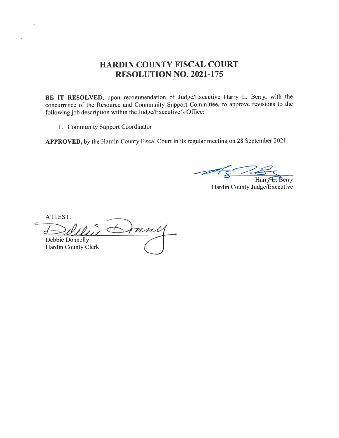BE IT RESOLVED, upon recommendation of Judge/Executive Harry L. Berry, with the concurrence of the Resource and Community Support Committee, to approve revisions to the following job description within the Judge/Executive's Office:

l. Community Support Coordinator

APPROVED, by the Hardin County Fiscal Court in its regular meeting on 28 September 2021.

 $E$ , Berry **Harr** 

Hardin County Judge/Executive

ATTEST:

¥

Donney Debbie Donnelly Hardin County Clerk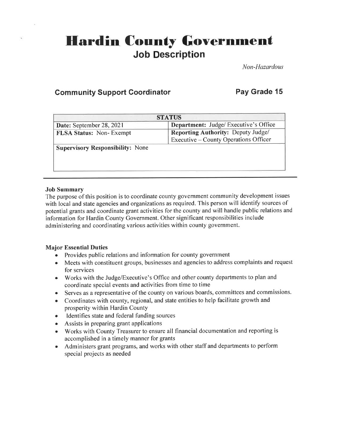# **Hardin County Government** Job Description

Non-Hazardous

# **Community Support Coordinator Fay Grade 15**

| <b>STATUS</b>                           |                                              |  |  |
|-----------------------------------------|----------------------------------------------|--|--|
| Date: September 28, 2021                | <b>Department:</b> Judge/ Executive's Office |  |  |
| <b>FLSA Status: Non-Exempt</b>          | Reporting Authority: Deputy Judge/           |  |  |
|                                         | Executive – County Operations Officer        |  |  |
| <b>Supervisory Responsibility:</b> None |                                              |  |  |
|                                         |                                              |  |  |
|                                         |                                              |  |  |
|                                         |                                              |  |  |

#### Job Summary

The purpose of this position is to coordinate county government community development issues with local and state agencies and organizations as required. This person will identify sources of potential grants and coordinate grant activities for the county and will handle public relations and information for Hardin County Government. Other significant responsibilities include administering and coordinating various activities within county government.

## Major Essential Duties

- o Provides public relations and information for county government
- o Meets with constituent groups, businesses and agencies to address complaints and request for services
- o Works with the Judge/Executive's Office and other county departments to plan and coordinate special events and activities from time to time
- o Serves as a representative of the county on various boards, committees and commissions.
- . Coordinates with county, regional, and state entities to help facilitate growth and prosperity within Hardin County
- Identifies state and federal funding sources
- Assists in preparing grant applications
- . Works with County Treasurer to ensure all financial documentation and reporting is accomplished in a timely manner for grants
- . Administers grant programs, and works with other staff and departments to perform special projects as needed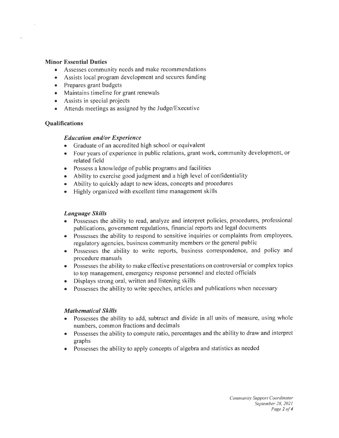#### Minor Essential Duties

- o Assesses community needs and make recommendations
- Assists local program development and secures funding
- e Prepares grant budgets
- Maintains timeline for grant renewals
- Assists in special projects
- Attends meetings as assigned by the Judge/Executive

#### **Qualifications**

#### **Education and/or Experience**

- Graduate of an accredited high school or equivalent
- o Four years of experience in public relations, grant work, community development, or related field
- o Possess a knowledge of public programs and facilities
- o Ability to exercise good judgment and a high level of confidentiality
- Ability to quickly adapt to new ideas, concepts and procedures
- . Highly organized with excellent time management skills

#### Language Skills

- Possesses the ability to read, analyze and interpret policies, procedures, professional publications, government regulations, financial reports and legal documents
- . Possesses the ability to respond to sensitive inquiries or complaints from employees, regulatory agencies, business community members or the general public
- Possesses the ability to write reports, business correspondence, and policy and procedure manuals
- o Possesses the ability to make effective presentations on controversial or complex topics to top management, emergency response personnel and elected officials
- . Displays strong oral, written and listening skills
- o Possesses the ability to write speeches, articles and publications when necessary

#### Mathematical Skills

- Possesses the ability to add, subtract and divide in all units of measure, using whole numbers, common fractions and decimals
- Possesses the ability to compute ratio, percentages and the ability to draw and interpret graphs
- Possesses the ability to apply concepts of algebra and statistics as needed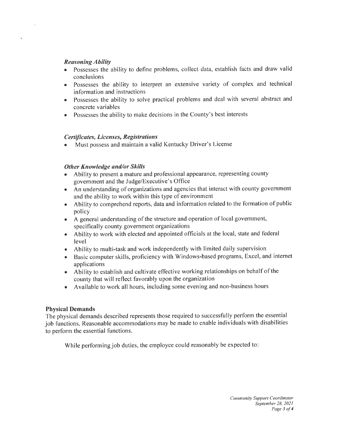#### Reasoning Ability

×

- Possesses the ability to define problems, collect data, establish facts and draw valid conclusions
- Possesses the ability to interpret an extensive variety of complex and technical information and instructions
- o Possesses the ability to solve practical problems and deal with several abstract and concrete variables
- . Possesses the ability to make decisions in the County's best interests

#### Certificates, Licenses, Registrations

Must possess and maintain a valid Kentucky Driver's License

#### Other Knowledge and/or Skills

- Ability to present a mature and professional appearance, representing county government and the Judge/Executive's Office
- An understanding of organizations and agencies that interact with county government and the ability to work within this type of environment
- Ability to comprehend reports, data and information related to the formation of public policy
- o <sup>A</sup>general understanding of the structure and operation of local govemment, specifically county government organizations
- . Ability to work with elected and appointed officials at the local, state and federal level
- . Ability to multi-task and work independently with limited daily supervision
- . Basic computer skills, proficiency with Windows-based programs, Excel, and internet applications
- Ability to establish and cultivate effective working relationships on behalf of the county that will reflect favorably upon the organization
- . Available to work all hours, including some evening and non-business hours

#### Physical Demands

The physical demands described represents those required to successfully perform the essential job functions. Reasonable accommodations may be made to enable individuals with disabilities to perform the essential functions.

While performing job duties, the employee could reasonably be expected to: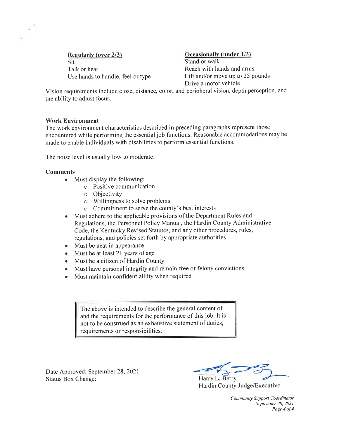Regularly (over 2/3) Cocasionally (under 1/3) Sit Stand or walk Use hands to handle, feel or type

Talk or hear<br>Use hands to handle, feel or type **Example 1** Lift and/or move up to 25 pounds Drive a motor vehicle

Vision requirements include close, distance, color, and peripheral vision, depth perception, and the ability to adjust focus.

#### Work Environment

The work environment characteristics described in preceding paragraphs represent those encountered while performing the essentialjob functions. Reasonable accommodations may be made to enable individuals with disabilities to perform essential functions.

The noise level is usually low to moderate.

#### Comments

- $\bullet$  Must display the following:
	- o Positive communication
	- o Objectivity
	- o Willingness to solve problems
	- o Commitment to serve the county's best interests
- Must adhere to the applicable provisions of the Department Rules and Regulations, the Personnel Policy Manual, the Hardin County Administrative Code, the Kentucky Revised Statutes, and any other procedures, rules, regulations, and policies set forth by appropriate authorities
- Must be neat in appearance
- $\bullet$  Must be at least 21 years of age
- Must be a citizen of Hardin County
- Must have personal integrity and remain free of felony convictions
- Must maintain confidentialllity when required

The above is intended to describe the general content of and the requirements for the performance of this job. It is not to be construed as an exhaustive statement of duties, requirements or responsibilities.

Date Approved: September 28, 2021 Status Box Change: Harry L. Berry

Hardin County Judge/Executive

Community Support Coordinator September 28, 2021 Page 4 of 4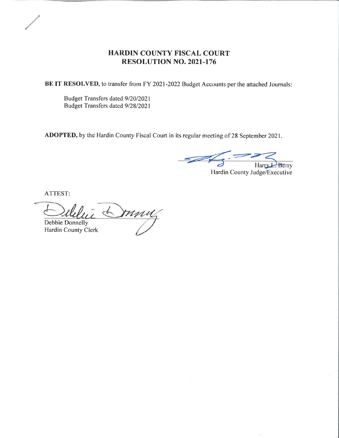BE IT RESOLVED, to transfer from FY 2021-2022 Budget Accounts per the attached Journals:

Budget Transfers dated 9/20/2021 Budget Transfers dated 9/28/2021

ADOPTED, by the Hardin County Fiscal Court in its regular meeting of 28 September 2021.

 $\overline{\mathscr{A}}$ Harry Berry

Hardin County Judge/Executive

ATTEST

Duny Debbie Donnelly

Hardin County Clerk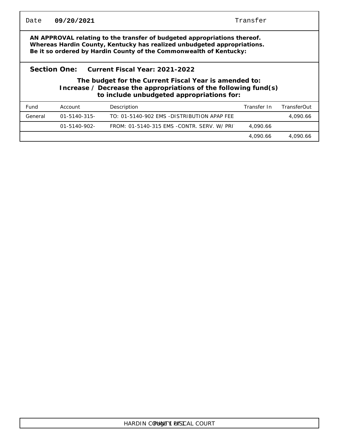| Date                                                                                                                                                                                                                      | 09/20/2021<br>Transfer |                                            |             |             |  |  |
|---------------------------------------------------------------------------------------------------------------------------------------------------------------------------------------------------------------------------|------------------------|--------------------------------------------|-------------|-------------|--|--|
| AN APPROVAL relating to the transfer of budgeted appropriations thereof.<br>Whereas Hardin County, Kentucky has realized unbudgeted appropriations.<br>Be it so ordered by Hardin County of the Commonwealth of Kentucky: |                        |                                            |             |             |  |  |
| Section One:<br>Current Fiscal Year: 2021-2022<br>The budget for the Current Fiscal Year is amended to:<br>Increase / Decrease the appropriations of the following fund(s)<br>to include unbudgeted appropriations for:   |                        |                                            |             |             |  |  |
| Fund                                                                                                                                                                                                                      | Account                | Description                                | Transfer In | TransferOut |  |  |
| General                                                                                                                                                                                                                   | 01-5140-315-           | TO: 01-5140-902 EMS -DISTRIBUTION APAP FEE |             | 4,090.66    |  |  |
|                                                                                                                                                                                                                           | 01-5140-902-           | FROM: 01-5140-315 EMS -CONTR. SERV. W/ PRI | 4,090.66    |             |  |  |
|                                                                                                                                                                                                                           |                        |                                            | 4,090.66    | 4,090.66    |  |  |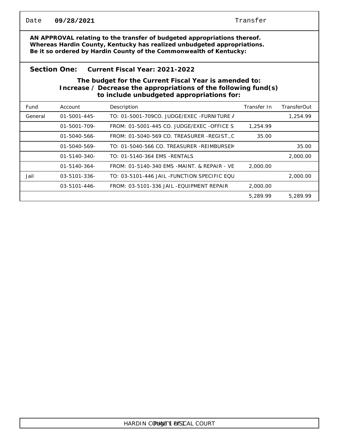| Date                                                                                                                                                                                                                      | 09/28/2021          |                                             | Transfer    |                    |  |  |
|---------------------------------------------------------------------------------------------------------------------------------------------------------------------------------------------------------------------------|---------------------|---------------------------------------------|-------------|--------------------|--|--|
| AN APPROVAL relating to the transfer of budgeted appropriations thereof.<br>Whereas Hardin County, Kentucky has realized unbudgeted appropriations.<br>Be it so ordered by Hardin County of the Commonwealth of Kentucky: |                     |                                             |             |                    |  |  |
| Section One:<br>Current Fiscal Year: 2021-2022                                                                                                                                                                            |                     |                                             |             |                    |  |  |
| The budget for the Current Fiscal Year is amended to:<br>Increase / Decrease the appropriations of the following fund(s)<br>to include unbudgeted appropriations for:                                                     |                     |                                             |             |                    |  |  |
| Fund                                                                                                                                                                                                                      | Account             | Description                                 | Transfer In | <b>TransferOut</b> |  |  |
| General                                                                                                                                                                                                                   | $01 - 5001 - 445 -$ | TO: 01-5001-709CO. JUDGE/EXEC - FURNITURE / |             | 1,254.99           |  |  |
|                                                                                                                                                                                                                           | $01 - 5001 - 709 -$ | FROM: 01-5001-445 CO. JUDGE/EXEC -OFFICE S  | 1,254.99    |                    |  |  |
|                                                                                                                                                                                                                           | $01 - 5040 - 566$   | FROM: 01-5040-569 CO. TREASURER -REGIST., C | 35.00       |                    |  |  |
|                                                                                                                                                                                                                           | 01-5040-569-        | TO: 01-5040-566 CO. TREASURER -REIMBURSEN   |             | 35.00              |  |  |
|                                                                                                                                                                                                                           | $01 - 5140 - 340 -$ | TO: 01-5140-364 EMS - RENTALS               |             | 2,000.00           |  |  |
|                                                                                                                                                                                                                           | $01 - 5140 - 364 -$ | FROM: 01-5140-340 EMS -MAINT, & REPAIR - VE | 2,000.00    |                    |  |  |
| Jail                                                                                                                                                                                                                      | $03 - 5101 - 336$   | TO: 03-5101-446 JAIL -FUNCTION SPECIFIC EOU |             | 2,000.00           |  |  |
|                                                                                                                                                                                                                           | $03 - 5101 - 446 -$ | FROM: 03-5101-336 JAIL -EOUIPMENT REPAIR    | 2,000.00    |                    |  |  |
|                                                                                                                                                                                                                           |                     |                                             | 5,289.99    | 5,289.99           |  |  |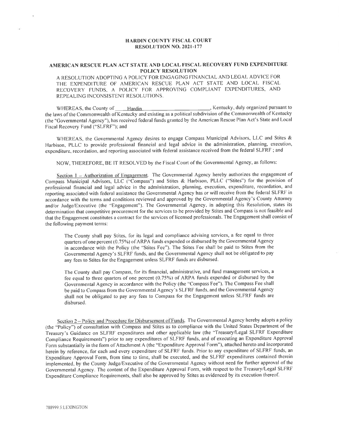#### AMERICAN RESCUE PLAN ACT STATE AND LOCAL FISCAL RECOVERY FUND EXPENDITURE POLICY RESOLUTION

A RESOLUTION ADOPTING A POLICY FOR ENGAGING FINANCIAL AND LEGAL ADVICE FOR THE EXPENDITURE OF AMERICAN RESCUE PLAN ACT STATE AND LOCAL FISCAL RECOVERY FUNDS. A POLICY FOR APPROVING COMPLIANT EXPENDITURES, AND REPEALING INCONSISTENT RESOLUTIONS.

WHEREAS, the County of **Hardin Hardin , Kentucky**, duly organized pursuant to the laws of the Commonwealth of Kentucky and existing as a political subdivision of the Commonwealth of Kentucky (the "Governmental Agency"), has received federal funds granted by the American Rescue Plan Act's State and Local Fiscal Recovery Fund ("SLFRF"); and

WHEREAS, the Governmental Agency desires to engage Compass Municipal Advisors, LLC and Stites  $\&$ Harbison, PLLC to provide professional financial and legal advice in the administration, planning, execution, expenditure, recordation, and reporting associated with federal assistance received from the federal SLFRF; and

NOW, THEREFORE, BE IT RESOLVED by the Fiscal Court of the Governmental Agency, as follows:

Section 1 - Authorization of Engagement. The Governmental Agency hereby authorizes the engagement of Compass Municipal Advisors, LLC ("Compass") and Stites & Harbison, PLLC ("Stites") for the provision of professional financial and legal advice in the administration, planning, execution, expenditure, recordation, and reporting associated with federal assistance the Governmental Agency has or will receive from the federal SLFRF in accordance with the tenns and conditions revierved and approved by the Governmental Agency's County Attorney and/or Judge/Executive (the "Engagement"). The Governmental Agency, in adopting this Resolution, states its determination that competitive procurement for the services to be provided by Stites and Compass is not feasible and that the Engagement constitutes a contract for the services of licensed professionals. The Engagement shall consist of the following payment terms:

The County shalt pay Stites, for its legal and compliance advising services, a fee equal to three quarters of one percent (0.75%) of ARPA funds expended or disbursed by the Governmental Agency in accordance with the Policy (the "Stites Fee"). The Stites Fee shall be paid to Stites from the Governmental Agency's SLFRF funds, and the Governmental Agency shall not be obligated to pay any fees to Stites for the Engagement unless SLFRF funds are disbursed.

The County shall pay Compass, for its financial, administrative, and fund management services, a fee equal to three quarters of one percent  $(0.75\%)$  of ARPA funds expended or disbursed by the Governmental Agency in accordance with the Policy (the "Conrpass Fee"). The Compass Fee shall be paid to Compass from the Governmental Agency's SLFRF funds. and the Governmental Agency shall not be obligated to pay any fees to Compass for the Engagement unless SLFRF funds are disbursed.

Section 2 - Policy and Procedure for Disbursement of Funds. The Governmental Agency hereby adopts a policy (the "Policy") of consultation with Compass and Stites as to compliance with the United States Department of the Treasury's Guidance on SLFRF expenditures and other applicable law (the "Treasury/Legal SLFRF Expenditure Compliance Requirements") prior to any expenditures of SLFRF funds, and of executing an Expendifure Approval Form substantially in the form of Attachment A (the "Expenditure Approval Form"), attached hereto and incorporated herein by reference, for each and every expenditure of SLFRF funds. Prior to any expenditure of SLFRF funds, an Expenditure Approval Form, from time to time, shall be executed, and the SLFRF expenditures contained therein implemented, by the County Judge/Executive of the Governmental Agency without need for further approval of the Governmental Agency. The content of the Expenditure Approval Form, with respect to the Treasuryll-egal SLFRF Expenditure Compliance Requirernents, shall also be approved by Stites as evidenced by its execution thereof.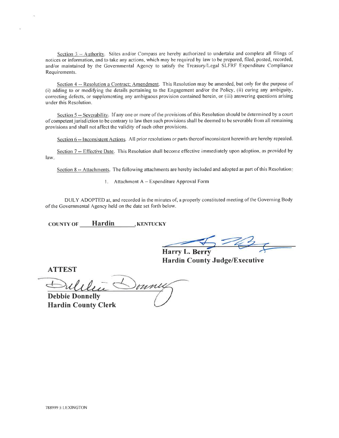Section 3 - Authority. Stites and/or Compass are hereby authorized to undertake and complete all filings of notices or information. and to take any actions, which may be required by law to be prepared, filed, posted, recorded, and/or maintained by the Governmental Agency to satisfy the Treasury/Legal SLFRF Expenditure Compliance Requirements.

Section 4 -- Resolution a Contract; Amendment. This Resolution may be amended, but only for the purpose of (i) adding to or modifying the details pertaining to the Engagement and/or the Policy, (ii) curing any ambiguity, correcting defects, or supplernenting any ambiguous provision contained herein, or (iii) answering questions arising under this Resolution.

Section 5 -- Severability. If any one or more of the provisions of this Resolution should be determined by a court of competent jurisdiction to be contrary to law then such provisions shall be deemed to be severable from all remaining provisions and shall not affect the validity of such other provisions.

Section 6 -- Inconsistent Actions. All prior resolutions or parts thereof inconsistent herewith are hereby repealed.

Section 7 -- Effective Date. This Resolution shall become effective immediately upon adoption, as provided by law

Section 8 -- Attachments. The following attachments are hereby included and adopted as part of this Resolution:

l. Attachment A - Expenditure Approval Form

DULY ADOPTED at, and recorded in the minutes of, a properly constituted meeting of the Governing Body of the Governmental Agency held on the date set forth below.

COUNTY OF **Hardin** KENTUCKY

Harry L.

Hardin County Judge/Executive

ATTEST

oune Debbie Donnelly

Hardin County Clerk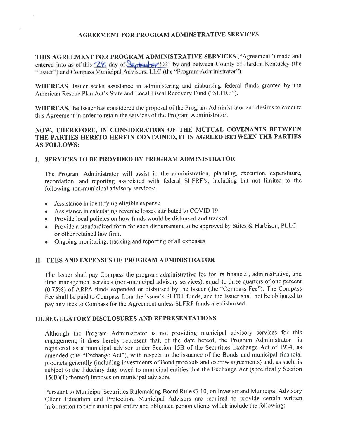#### AGREEMENT FOR PROGRAM ADMINSTRATIVE SERVICES

THIS AGREEMENT FOR PROGRAM ADMINISTRATIVE SERVICES ("Agreement") made and entered into as of this  $28$  day of  $\frac{1}{20}$  key  $\frac{1}{20}$  by and between County of Hardin, Kentucky (the "lssuer") and Compass Municipal Advisors, LLC (the "Program Administrator").

WHEREAS, Issuer seeks assistance in administering and disbursing federal funds granted by the American Rescue Plan Act's State and Local Fiscal Recovery Fund ("SLFRF").

WHEREAS, the Issuer has considered the proposal of the Program Administrator and desires to execute this Agreement in order to retain the services of the Program Administrator.

## NOW, THEREFORE, IN CONSIDERATION OF THE MUTUAL COVENANTS BETWEEN THE PARTIES HERETO HEREIN CONTAINED, IT IS AGREED BETWEEN THE PARTIES AS FOLLOWS:

#### I. SERVICES TO BE PROVIDED BY PROGRAM ADMINISTRATOR

The Program Administrator will assist in the administration, planning, execution, expenditure, recordation, and reporting associated with federal SLFRF's, including but not limited to the following non-municipal advisory services:

- o Assistance in identifying eligible expense
- o Assistance in calculating revenue losses attributed to COVID l9
- Provide local policies on how funds would be disbursed and tracked
- Provide a standardized form for each disbursement to be approved by Stites & Harbison, PLLC or other retained law firm.
- $\bullet$  Ongoing monitoring, tracking and reporting of all expenses

### II. FEES AND EXPENSES OF PROGRAM ADMINISTRATOR

The Issuer shall pay Compass the program administrative fee for its financial, administrative, and fund management services (non-municipal advisory services), equal to three quarters of one percent (0.75%) of ARPA funds expended or disbursed by the Issuer (the "Compass Fee"). The Compass Fee shall be paid to Compass from the Issuer's SLFRF funds, and the Issuer shall not be obligated to pay any fees to Compass for the Agreement unless SLFRF funds are disbursed.

#### III. REGULATORY DISCLOSURES AND REPRESENTATIONS

Although the Program Administrator is not providing municipal advisory services for this engagement, it does hereby represent that, of the date hereof, the Program Administrator is registered as a municipal advisor under Section l58 of the Securities Exchange Act of 1934, as amended (the "Exchange Act"), with respect to the issuance of the Bonds and municipal financial products generally (including investments of Bond proceeds and escrow agreements) and, as such, is subject to the fiduciary duty owed to municipal entities that the Exchange Act (specifically Section  $15(B)(1)$  thereof) imposes on municipal advisors.

Pursuant to Municipal Securities Rulemaking Board Rule G-10, on Investor and Municipal Advisory Client Education and Protection, Municipal Advisors are required to provide certain written information to their municipal entity and obligated person clients which include the following: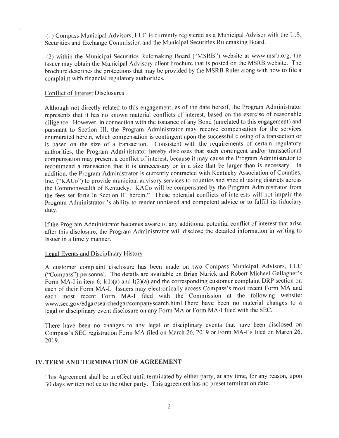(l) Compass Municipal Advisors, LLC is currently registered as a Municipal Advisorwith the U.S. Securities and Exchange Commission and the Municipal Securities Rulemaking Board.

(2) within the Municipal Securities Rulemaking Board ("MSRB") website at www.msrb.org, the Issuer may obtain the Municipal Advisory client brochure that is posted on the MSRB website. The brochure describes the protections that may be provided by the MSRB Rules along with how to file <sup>a</sup> complaint with financial regulatory authorities.

#### Conflict of Interest Disclosures

Although not directly related to this engagement, as of the date hereof, the Program Administrator represents that it has no known material conflicts of interest, based on the exercise of reasonable diligence. However, in connection with the issuance of any Bond (unrelated to this engagement) and pursuant to Section III, the Program Administrator may receive compensation for the services enumerated herein, which compensation is contingent upon the successful closing of a transaction or is based on the size of a transaction. Consistent with the requirements of certain regulatory authorities, the Program Administrator hereby discloses that such contingent and/or transactional compensation may present a conflict of interest, because it may cause the Program Administrator to recommend a transaction that it is unnecessary or in a size that be larger than is necessary. In addition, the Program Administrator is currently contracted with Kentucky Association of Counties, Inc. ("KACo") to provide municipal advisory seryices to counties and special taxing districts across the Commonwealth of Kentucky. KACo will be compensated by the Program Administrator from the fees set forth in Section III herein." These potential conflicts of interests will not impair the Program Administrator 's ability to render unbiased and competent advice or to fulfill its fiduciary duty.

If the Program Administrator becomes aware of any additional potential conflict of interest that arise after this disclosure, the Program Administrator will disclose the detailed information in writing to Issuer in a timely manner.

#### Legal Events and Disciplinary History

A customer complaint disclosure has been made on two Compass Municipal Advisors, LLC ("Compass") personnel. The details are available on Brian Nurick and Robert Michael Gallagher's Form MA-I in item 6;  $I(1)(a)$  and  $I(2)(a)$  and the corresponding customer complaint DRP section on each of their Form MA-I. Issuers may electronically access Compass's most recent Form MA and each most recent Form MA-l filed with the Commission at the following website: www.sec.gov/edgar/searchedgar/companysearch.html.There have been no material changes to <sup>a</sup> legal or disciplinary event disclosure on any Form MA or Form MA-l filed with the SEC.

There have been no changes to any legal or disciplinary events that have been disclosed on Compass's SEC registration Form MA filed on March 26, 2019 or Form MA-I's filed on March 26, 2019.

#### IV. TERM AND TERMINATION OF AGREEMENT

This Agreement shall be in effect until terminated by either party, at any time, for any reason, upon 30 days written notice to the other party. This agreement has no preset termination date.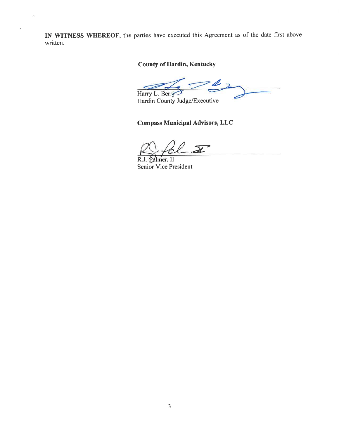IN WITNESS WHEREOF, the parties have executed this Agreement as of the date first above written.

## County of Hardin, Kentucky

z Harry L. Berry

Hardin County Judge/Executive

## Compass Municipal Advisors, LLC

<u>I</u>n

R.J. Palmer, II Senior Vice President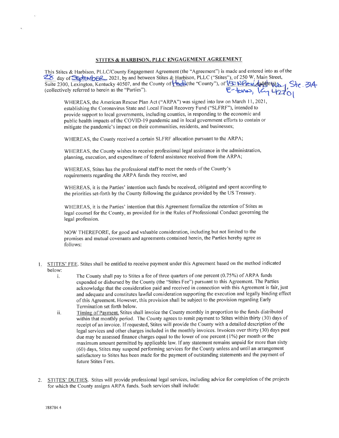#### STITES & HARBISON. PLLC ENGAGEMENT AGREEMENT

This Stites & Harbison, PLLC/County This Stites & Harbison, PLLC/County Engagement Agreement (the "Agreement") is made and entered into as of the 4 day of **SEA MOER**, 2021, by and between Stites & Harbison, PLLC ("Stites"), of 250 W. Main Street, Suite 2300, Lexington, Kentucky 40507, and the County of **We All** (the "County"), (collectively referred to herein as the "Parties").  $E$   $\rightarrow$   $\sim$   $E$ Stc. 314  $E$ -tono,  $\frac{1}{4210}$ 

WHEREAS, the American Rescue Plan Act (\*ARPA") was signed into law on March 11,2021, establishing the Coronavirus State and Local Fiscal Recovery Fund ("SLFRF"), intended to provide support to local govemments, including counties, in responding to the economic and public health impacts of the COVID-19 pandemic and in local government efforts to contain or mitigate the pandemic's impact on their communities, residents, and businesses;

WHEREAS, the County received a certain SLFRF allocation pursuant to the ARPA;

WHEREAS, the County wishes to receive professional legal assistance in the administration, planning, execution, and expenditure of federal assistance received from the ARPA;

WHEREAS, Stites has the professional staff to meet the needs of the County's requirements regarding the ARPA funds they receive, and

WHEREAS, it is the Parties' intention such funds be received, obligated and spent according to the priorities set-forth by the County following the guidance provided by the US Treasury.

WHEREAS, it is the Parties' intention that this Agreement formalize the retention of Stites as legal counsel for the County, as provided for in the Rules of Professional Conduct governing the legal profession.

NOW THEREFORE, for good and valuable consideration, including but not limited to the promises and mutual covenants and agreements contained herein, the Parties hereby agree as follows:

- STITES' FEE. Stites shall be entitled to receive payment under this Agreement based on the method indicated 1. below:
	- i. The County shall pay to Stites a fee of three quarters of one percent (0.75%) of ARPA funds expended or disbursed by the County (the "Stites Fee") pursuant to this Agreement. The Parties acknowledge that the consideration paid and received in connection with this Agreement is fair, just and adequate and constitutes lawful consideration supporting the execution and legally binding effect of this Agreement. However, this provision shall be subject to the provision regarding Early Termination set forth below.
	- ii. Timing of Payment. Stites shall invoice the County monthly in proportion to the funds distributed within that monthly period. The County agrees to remit payment to Stites within thirty (30) days of receipt of an invoice. If requested, Stites will provide the County with a detailed description of the legal services and other charges included in the monthly invoices. Invoices over thirty (30) days past due may be assessed finance charges equal to the lower of one percent  $(1\%)$  per month or the maximum amount permitted by applicable law. lf any statement remains unpaid for more than sixty (60) days, Stites may suspend performing services for the Counfy unless and until an arrangement satisfactory to Stites has been made for the payment of outstanding statements and the payment of future Stites Fees.
- 2. STITES' DUTIES. Stites will provide professional legal services, including advice for completion of the projects for which the County assigns ARPA funds. Such services shall include: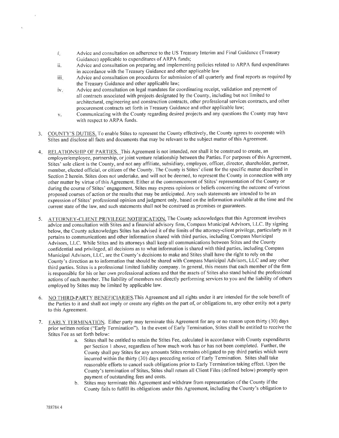- Advice and consultation on adherence to the US Treasury lnterim and Final Guidance (Treasury Guidance) applicable to expenditures of ARPA funds; l.
- Advice and consultation on preparing and implementing policies related to ARPA fund expenditures in accordance with the Treasury Guidance and other applicable law ll.
- Advice and consultation on procedures for submission ofall quarterly and final reports as required by the Treasury Guidance and other applicable law; iii.
- Advice and consultation on legal mandates for coordinating receipt, validation and payment of all contracts associated with projects designated by the County, including but not limited to architectural, engineering and construction contracts, other professional services contracts, and other procurement contracts set forth in Treasury Guidance and other applicable law; iv.
- Communicating with the County regarding desired projects and any questions the Counfy may have  $\dot{V}$ . with respect to ARPA funds.
- 3. COUNTY'S DUTIES. To enable Stites to represent the County effectively, the County agrees to cooperate with Stites and disclose all facts and documents that may be relevant to the subject matter of this Agreement.
- 4. RELATIONSHIP OF PARTIES. This Agreement is not intended, nor shall it be construed to create, an employer/employee, partnership, or joint venture relationship between the Parties. For purposes of this Agreement, Stites' sote client is the County, and not any affiliate, subsidiary, employee, officer, director, shareholder, partner, member, elected official, or citizen of the County. The County is Stites' client for the specific matter described in Section 2 herein. Stites does not undertake, and will not be deemed, to represent the County in connection with any other matter by virtue of this Agreement. Either at the commencement of Stites' representation of the County or during the course of Stites' engagement, Stites may express opinions or beliefs concerning the outcome of various proposed courses of action or the results that may be anticipated. Any such statements are intended to be an expression of Stites' professional opinion and judgment only, based on the information available at the time and the current state of the law, and such statements shall not be construed as promises or guarantees.
- 5. ATTORNEY-CLIENT PRIVILECE NOTIFICATION. The County acknowledges that this Agreement involves advice and consultation with Stites and a financial advisory firm, Compass Municipal Advisors, LLC. By signing below, the County acknowledges Stites has advised it of the limits of the attorney-client privilege, particularly as it pertains to communications and other information shared with third parties, including Compass Municipal Advisors, LLC. While Stites and its attorneys shall keep all communications between Stites and the County confidential and privileged, all decisions as to what information is shared with third parties, including Compass Municipal Advisors, LLC, are the County's decisions to make and Stites shall have the right to rely on the County's direction as to information that should be shared with Compass Municipal Advisors, LLC and any other third parties. Stites is a professional limited liability company. In general, this means that each member of the firm is responsible for his or her own professional actions and that the assets of Stites also stand behind the professional actions of each member. The liability of members not directly performing services to you and the liability of others employed by Stites may be limited by applicable law.
- 6. NO THIRD-PARTY BENEFICIARIES.This Agreement and all rights under it are intended for the sole benefit of the Parties to it and shall not imply or create any rights on the part of, or obligations to, any other entity not a party to this Agreement.
- 7. EARLY TERMINATION. Either party may terminate this Agreement for any or no reason upon thirty (30) days prior written notice ("Early Termination"). In the event of Early Termination, Stites shall be entitled to receive the Stites Fee as set forth below:
	- a. Stites shall be entitled to retain the Stites Fee, calculated in accordance with County expenditures per Section 1 above, regardless of how much work has or has not been completed. Further, the County shall pay Stites for any amounts Stites remains obligated to pay third parties which were incurred within the thirty (30) days preceding notice of Early Termination. Stites shall take reasonable efforts to cancel such obligations prior to Early Termination taking effect. Upon the County's termination of Stites, Stites shall return all Client Files (defined below) promptly upon payment of outstanding fees and costs.
	- b. Stites may terminate this Agreement and withdraw from representation of the County if the County fails to fulfill its obligations under this Agreement, including the County's obligation to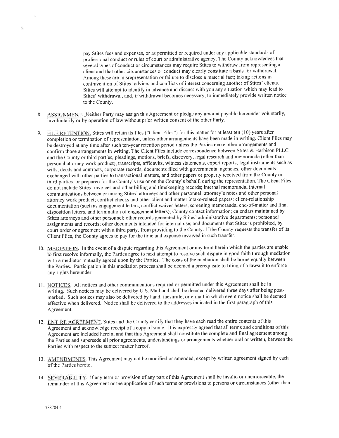pay Stites fees and expenses, or as permitted or required under any applicable standards of professional conduct or rules of court or administrative agency. The County acknowledges that several types of conduct or circumstances may require Stites to withdraw from representing <sup>a</sup> client and that other circumstances or conduct may clearly constitute a basis for withdrawal. Among these are misrepresentation or failure to disclose a material fact; taking actions in contravention of Stites' advice; and conflicts of interest concerning another of Stites' clients. Stites will attempt to identify in advance and discuss with you any situation which may lead to Stites' withdrawal, and, if withdrawal becomes necessary, to immediately provide written notice to the County.

- 8. ASSIGNMENT. Neither Party may assign this Agreement or pledge any amount payable hereunder voluntarily, involuntarily or by operation of law without prior written consent of the other Party.
- g. FILE RETENTION. Stites will retain its files ("Client Files") for this matter for at least ten ( l0) years after completion or termination of representation, unless other arrangements have been made in writing. Client Files may be destroyed at any time after such ten-year retention period unless the Parties make other arrangements and confirm those arrangements in writing. The Client Files include correspondence between Stites & Harbison PLLC and the County or third parties, pleadings, motions, briefs, discovery, legal research and memoranda (other than personal attorney work product), transcripts, affidavits, witness statements, expert reports, legal instruments such as wills, deeds and contracts, corporate records, documents filed with governmental agencies, other documents exchanged with other parties to transactional matters, and other papers or property received from the County or third parties, or prepared for the County's use or on the County's behalf, during the representation. The Client Files do not include Stites' invoices and other billing and timekeeping records; internal memoranda, internal communications between or among Stites' attorneys and other personnel; attorney's notes and other personal attorney work product; conflict checks and other client and matter intake-related papers; client-relationship documentation (such as engagement letters, conflict waiver lefters, screening memoranda, end-of-matter and final disposition letters, and termination of engagement letters); County contact information; calendars maintained by Stites attorneys and other personnel; other records generated by Stites' administrative departments; personnel assignments and records; other documents intended for internal use; and documents that Stites is prohibited, by court order or agreement with a third parfy, from providing to the County. If the County requests the transfer of its Client Files, the County agrees to pay for the time and expense involved in such transfer.
- 10. MEDIATION. In the event of a dispute regarding this Agreement or any term herein which the parties are unable to first resolve informally, the Parties agree to next attempt to resolve such dispute in good faith through mediation with a mediator mutually agreed upon by the Parties. The costs of the mediation shall be borne equally between the Parties. Participation in this mediation process shall be deemed a prerequisite to filing of a lawsuit to enforce any rights hereunder.
- 11. NOTICES. All notices and other communications required or permitted under this Agreement shall be in writing. Such notices may be delivered by U.S. Mail and shall be deemed delivered three days after being postmarked. Such notices may also be delivered by hand, facsimile, or e-mail in which event notice shall be deemed effective when delivered. Notice shall be delivered to the addresses indicated in the first paragraph ofthis Agreement.
- 12. ENTIRE AGREEMENT. Stites and the County certify that they have each read the entire contents of this Agreement and acknowledge receipt of a copy of same. It is expressly agreed that all terms and conditions of this Agreement are included herein, and that this Agreement shall constitute the complete and final agreement among the Parties and supersede all prior agreements, understandings or arrangements whether oral or written, between the Parties with respect to the subject matter hereof.
- 13. AMENDMENTS. This Agreement may not be modified or amended, except by written agreement signed by each of the Parties hereto.
- 14. SEVERABILITY. lf any term or provision of any part of this Agreement shall be invalid or unenforceable, the remainder of this Agreement or the application of such terms or provisions to persons or circumstances (other than